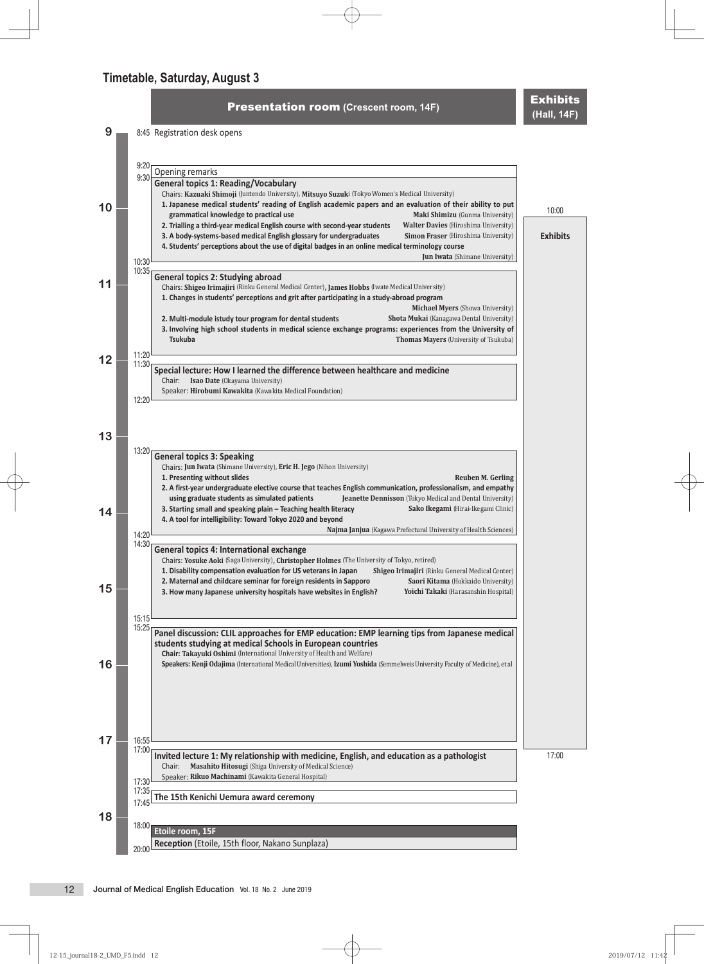**Presentation room** (Crescent room, 14F) **Exhibits** 

**9** 8:45 Registration desk opens